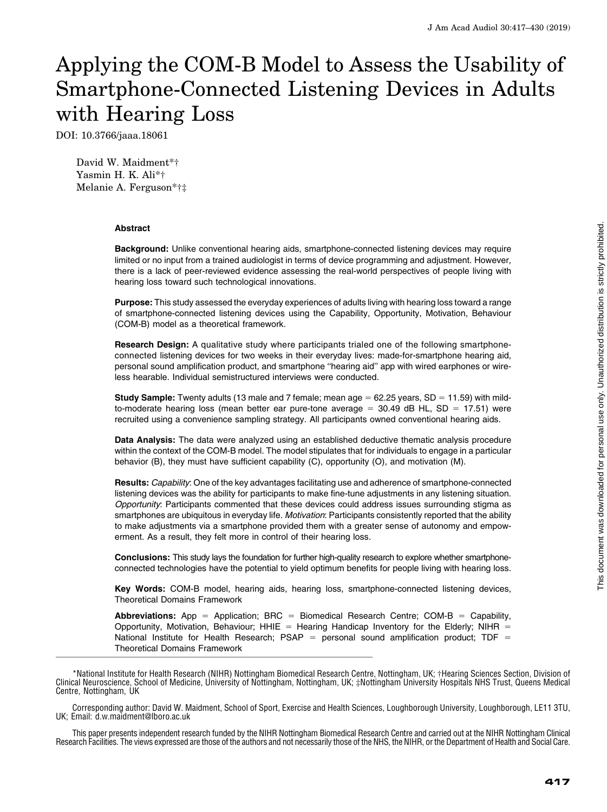# Applying the COM-B Model to Assess the Usability of Smartphone-Connected Listening Devices in Adults with Hearing Loss

DOI: 10.3766/jaaa.18061

David W. Maidment\*† Yasmin H. K. Ali\*† Melanie A. Ferguson\*†‡

#### **Abstract**

Background: Unlike conventional hearing aids, smartphone-connected listening devices may require limited or no input from a trained audiologist in terms of device programming and adjustment. However, there is a lack of peer-reviewed evidence assessing the real-world perspectives of people living with hearing loss toward such technological innovations.

Purpose: This study assessed the everyday experiences of adults living with hearing loss toward a range of smartphone-connected listening devices using the Capability, Opportunity, Motivation, Behaviour (COM-B) model as a theoretical framework.

Research Design: A qualitative study where participants trialed one of the following smartphoneconnected listening devices for two weeks in their everyday lives: made-for-smartphone hearing aid, personal sound amplification product, and smartphone ''hearing aid'' app with wired earphones or wireless hearable. Individual semistructured interviews were conducted.

**Study Sample:** Twenty adults (13 male and 7 female; mean age  $= 62.25$  years, SD  $= 11.59$ ) with mildto-moderate hearing loss (mean better ear pure-tone average  $= 30.49$  dB HL, SD  $= 17.51$ ) were recruited using a convenience sampling strategy. All participants owned conventional hearing aids.

Data Analysis: The data were analyzed using an established deductive thematic analysis procedure within the context of the COM-B model. The model stipulates that for individuals to engage in a particular behavior (B), they must have sufficient capability (C), opportunity (O), and motivation (M).

Results: Capability: One of the key advantages facilitating use and adherence of smartphone-connected listening devices was the ability for participants to make fine-tune adjustments in any listening situation. Opportunity: Participants commented that these devices could address issues surrounding stigma as smartphones are ubiquitous in everyday life. Motivation: Participants consistently reported that the ability to make adjustments via a smartphone provided them with a greater sense of autonomy and empowerment. As a result, they felt more in control of their hearing loss.

Conclusions: This study lays the foundation for further high-quality research to explore whether smartphoneconnected technologies have the potential to yield optimum benefits for people living with hearing loss.

Key Words: COM-B model, hearing aids, hearing loss, smartphone-connected listening devices, Theoretical Domains Framework

**Abbreviations:** App = Application; BRC = Biomedical Research Centre; COM-B = Capability, Opportunity, Motivation, Behaviour; HHIE = Hearing Handicap Inventory for the Elderly; NIHR = National Institute for Health Research; PSAP = personal sound amplification product; TDF = Theoretical Domains Framework

\*National Institute for Health Research (NIHR) Nottingham Biomedical Research Centre, Nottingham, UK; †Hearing Sciences Section, Division of Clinical Neuroscience, School of Medicine, University of Nottingham, Nottingham, UK; ‡Nottingham University Hospitals NHS Trust, Queens Medical Centre, Nottingham, UK

Corresponding author: David W. Maidment, School of Sport, Exercise and Health Sciences, Loughborough University, Loughborough, LE11 3TU, UK; Email: [d.w.maidment@lboro.ac.uk](mailto:d.w.maidment@lboro.ac.uk)

This paper presents independent research funded by the NIHR Nottingham Biomedical Research Centre and carried out at the NIHR Nottingham Clinical Research Facilities. The views expressed are those of the authors and not necessarily those of the NHS, the NIHR, or the Department of Health and Social Care.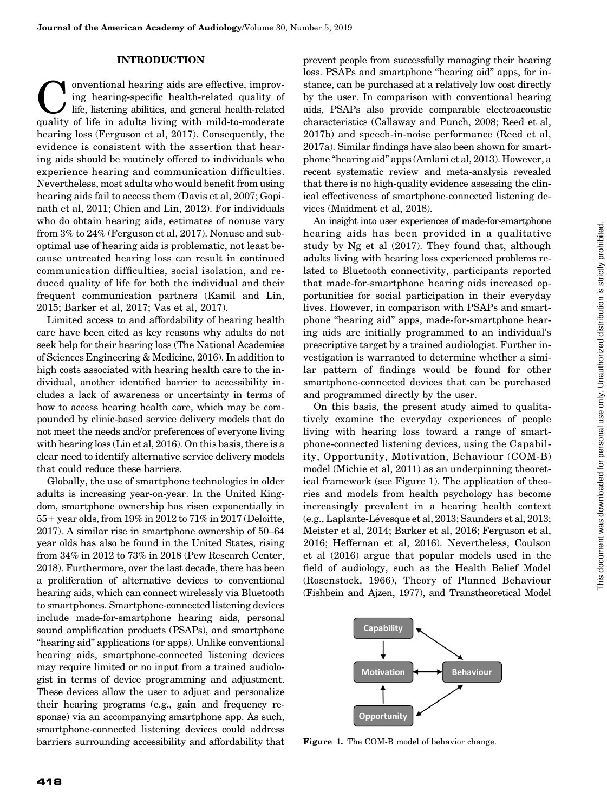#### INTRODUCTION

onventional hearing aids are effective, improv-<br>
ing hearing-specific health-related quality of<br>
life, listening abilities, and general health-related<br>
quality of life in adults living with mild-to-moderate ing hearing-specific health-related quality of quality of life in adults living with mild-to-moderate hearing loss (Ferguson et al, 2017). Consequently, the evidence is consistent with the assertion that hearing aids should be routinely offered to individuals who experience hearing and communication difficulties. Nevertheless, most adults who would benefit from using hearing aids fail to access them (Davis et al, 2007; Gopinath et al, 2011; Chien and Lin, 2012). For individuals who do obtain hearing aids, estimates of nonuse vary from 3% to 24% (Ferguson et al, 2017). Nonuse and suboptimal use of hearing aids is problematic, not least because untreated hearing loss can result in continued communication difficulties, social isolation, and reduced quality of life for both the individual and their frequent communication partners (Kamil and Lin, 2015; Barker et al, 2017; Vas et al, 2017).

Limited access to and affordability of hearing health care have been cited as key reasons why adults do not seek help for their hearing loss (The National Academies of Sciences Engineering & Medicine, 2016). In addition to high costs associated with hearing health care to the individual, another identified barrier to accessibility includes a lack of awareness or uncertainty in terms of how to access hearing health care, which may be compounded by clinic-based service delivery models that do not meet the needs and/or preferences of everyone living with hearing loss (Lin et al, 2016). On this basis, there is a clear need to identify alternative service delivery models that could reduce these barriers.

Globally, the use of smartphone technologies in older adults is increasing year-on-year. In the United Kingdom, smartphone ownership has risen exponentially in 55+ year olds, from 19% in 2012 to 71% in 2017 (Deloitte, 2017). A similar rise in smartphone ownership of 50–64 year olds has also be found in the United States, rising from 34% in 2012 to 73% in 2018 (Pew Research Center, 2018). Furthermore, over the last decade, there has been a proliferation of alternative devices to conventional hearing aids, which can connect wirelessly via Bluetooth to smartphones. Smartphone-connected listening devices include made-for-smartphone hearing aids, personal sound amplification products (PSAPs), and smartphone ''hearing aid'' applications (or apps). Unlike conventional hearing aids, smartphone-connected listening devices may require limited or no input from a trained audiologist in terms of device programming and adjustment. These devices allow the user to adjust and personalize their hearing programs (e.g., gain and frequency response) via an accompanying smartphone app. As such, smartphone-connected listening devices could address barriers surrounding accessibility and affordability that prevent people from successfully managing their hearing loss. PSAPs and smartphone "hearing aid" apps, for instance, can be purchased at a relatively low cost directly by the user. In comparison with conventional hearing aids, PSAPs also provide comparable electroacoustic characteristics (Callaway and Punch, 2008; Reed et al, 2017b) and speech-in-noise performance (Reed et al, 2017a). Similar findings have also been shown for smartphone ''hearing aid'' apps (Amlani et al, 2013). However, a recent systematic review and meta-analysis revealed that there is no high-quality evidence assessing the clinical effectiveness of smartphone-connected listening devices (Maidment et al, 2018).

An insight into user experiences of made-for-smartphone hearing aids has been provided in a qualitative study by Ng et al (2017). They found that, although adults living with hearing loss experienced problems related to Bluetooth connectivity, participants reported that made-for-smartphone hearing aids increased opportunities for social participation in their everyday lives. However, in comparison with PSAPs and smartphone ''hearing aid'' apps, made-for-smartphone hearing aids are initially programmed to an individual's prescriptive target by a trained audiologist. Further investigation is warranted to determine whether a similar pattern of findings would be found for other smartphone-connected devices that can be purchased and programmed directly by the user.

On this basis, the present study aimed to qualitatively examine the everyday experiences of people living with hearing loss toward a range of smartphone-connected listening devices, using the Capability, Opportunity, Motivation, Behaviour (COM-B) model (Michie et al, 2011) as an underpinning theoretical framework (see Figure 1). The application of theories and models from health psychology has become increasingly prevalent in a hearing health context (e.g., Laplante-Lévesque et al, 2013; Saunders et al, 2013; Meister et al, 2014; Barker et al, 2016; Ferguson et al, 2016; Heffernan et al, 2016). Nevertheless, Coulson et al (2016) argue that popular models used in the field of audiology, such as the Health Belief Model (Rosenstock, 1966), Theory of Planned Behaviour (Fishbein and Ajzen, 1977), and Transtheoretical Model



Figure 1. The COM-B model of behavior change.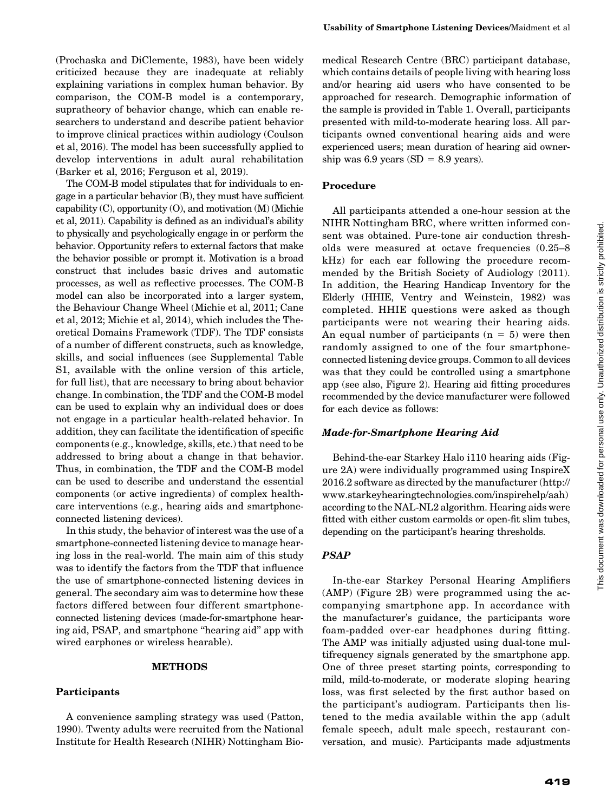(Prochaska and DiClemente, 1983), have been widely criticized because they are inadequate at reliably explaining variations in complex human behavior. By comparison, the COM-B model is a contemporary, supratheory of behavior change, which can enable researchers to understand and describe patient behavior to improve clinical practices within audiology (Coulson et al, 2016). The model has been successfully applied to develop interventions in adult aural rehabilitation (Barker et al, 2016; Ferguson et al, 2019).

The COM-B model stipulates that for individuals to engage in a particular behavior (B), they must have sufficient capability (C), opportunity (O), and motivation (M) (Michie et al, 2011). Capability is defined as an individual's ability to physically and psychologically engage in or perform the behavior. Opportunity refers to external factors that make the behavior possible or prompt it. Motivation is a broad construct that includes basic drives and automatic processes, as well as reflective processes. The COM-B model can also be incorporated into a larger system, the Behaviour Change Wheel (Michie et al, 2011; Cane et al, 2012; Michie et al, 2014), which includes the Theoretical Domains Framework (TDF). The TDF consists of a number of different constructs, such as knowledge, skills, and social influences (see Supplemental Table S1, available with the online version of this article, for full list), that are necessary to bring about behavior change. In combination, the TDF and the COM-B model can be used to explain why an individual does or does not engage in a particular health-related behavior. In addition, they can facilitate the identification of specific components (e.g., knowledge, skills, etc.) that need to be addressed to bring about a change in that behavior. Thus, in combination, the TDF and the COM-B model can be used to describe and understand the essential components (or active ingredients) of complex healthcare interventions (e.g., hearing aids and smartphoneconnected listening devices).

In this study, the behavior of interest was the use of a smartphone-connected listening device to manage hearing loss in the real-world. The main aim of this study was to identify the factors from the TDF that influence the use of smartphone-connected listening devices in general. The secondary aim was to determine how these factors differed between four different smartphoneconnected listening devices (made-for-smartphone hearing aid, PSAP, and smartphone ''hearing aid'' app with wired earphones or wireless hearable).

#### METHODS

#### Participants

A convenience sampling strategy was used (Patton, 1990). Twenty adults were recruited from the National Institute for Health Research (NIHR) Nottingham Biomedical Research Centre (BRC) participant database, which contains details of people living with hearing loss and/or hearing aid users who have consented to be approached for research. Demographic information of the sample is provided in Table 1. Overall, participants presented with mild-to-moderate hearing loss. All participants owned conventional hearing aids and were experienced users; mean duration of hearing aid ownership was 6.9 years (SD =  $8.9$  years).

#### Procedure

All participants attended a one-hour session at the NIHR Nottingham BRC, where written informed consent was obtained. Pure-tone air conduction thresholds were measured at octave frequencies (0.25–8 kHz) for each ear following the procedure recommended by the British Society of Audiology (2011). In addition, the Hearing Handicap Inventory for the Elderly (HHIE, Ventry and Weinstein, 1982) was completed. HHIE questions were asked as though participants were not wearing their hearing aids. An equal number of participants  $(n = 5)$  were then randomly assigned to one of the four smartphoneconnected listening device groups. Common to all devices was that they could be controlled using a smartphone app (see also, Figure 2). Hearing aid fitting procedures recommended by the device manufacturer were followed for each device as follows:

#### Made-for-Smartphone Hearing Aid

Behind-the-ear Starkey Halo i110 hearing aids (Figure 2A) were individually programmed using InspireX 2016.2 software as directed by the manufacturer [\(http://](http://www.starkeyhearingtechnologies.com/inspirehelp/aah) [www.starkeyhearingtechnologies.com/inspirehelp/aah\)](http://www.starkeyhearingtechnologies.com/inspirehelp/aah) according to the NAL-NL2 algorithm. Hearing aids were fitted with either custom earmolds or open-fit slim tubes, depending on the participant's hearing thresholds.

#### PSAP

In-the-ear Starkey Personal Hearing Amplifiers (AMP) (Figure 2B) were programmed using the accompanying smartphone app. In accordance with the manufacturer's guidance, the participants wore foam-padded over-ear headphones during fitting. The AMP was initially adjusted using dual-tone multifrequency signals generated by the smartphone app. One of three preset starting points, corresponding to mild, mild-to-moderate, or moderate sloping hearing loss, was first selected by the first author based on the participant's audiogram. Participants then listened to the media available within the app (adult female speech, adult male speech, restaurant conversation, and music). Participants made adjustments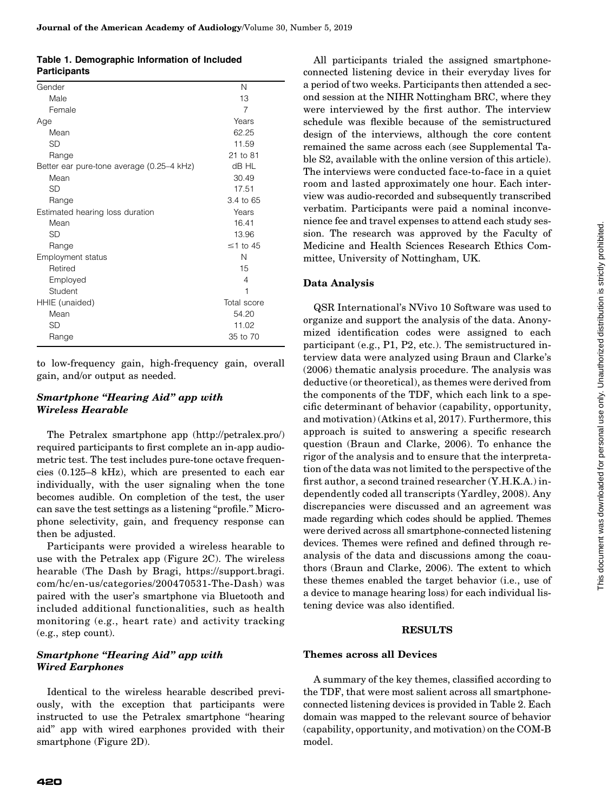|                     | Table 1. Demographic Information of Included |  |
|---------------------|----------------------------------------------|--|
| <b>Participants</b> |                                              |  |

| Gender                                    | Ν                    |
|-------------------------------------------|----------------------|
| Male                                      | 13                   |
| Female                                    | $\overline{7}$       |
| Age                                       | Years                |
| Mean                                      | 62.25                |
| <b>SD</b>                                 | 11.59                |
| Range                                     | 21 to 81             |
| Better ear pure-tone average (0.25-4 kHz) | dB HL                |
| Mean                                      | 30.49                |
| SD                                        | 17.51                |
| Range                                     | $3.4 \text{ to } 65$ |
| Estimated hearing loss duration           | Years                |
| Mean                                      | 16.41                |
| <b>SD</b>                                 | 13.96                |
| Range                                     | $\leq$ 1 to 45       |
| <b>Employment status</b>                  | Ν                    |
| Retired                                   | 15                   |
| Employed                                  | 4                    |
| Student                                   | 1                    |
| HHIE (unaided)                            | Total score          |
| Mean                                      | 54.20                |
| <b>SD</b>                                 | 11.02                |
| Range                                     | 35 to 70             |
|                                           |                      |

to low-frequency gain, high-frequency gain, overall gain, and/or output as needed.

## Smartphone ''Hearing Aid'' app with Wireless Hearable

The Petralex smartphone app [\(http://petralex.pro/](http://petralex.pro/)) required participants to first complete an in-app audiometric test. The test includes pure-tone octave frequencies (0.125–8 kHz), which are presented to each ear individually, with the user signaling when the tone becomes audible. On completion of the test, the user can save the test settings as a listening ''profile.'' Microphone selectivity, gain, and frequency response can then be adjusted.

Participants were provided a wireless hearable to use with the Petralex app (Figure 2C). The wireless hearable (The Dash by Bragi, [https://support.bragi.](https://support.bragi.com/hc/en-us/categories/200470531-The-Dash) [com/hc/en-us/categories/200470531-The-Dash\)](https://support.bragi.com/hc/en-us/categories/200470531-The-Dash) was paired with the user's smartphone via Bluetooth and included additional functionalities, such as health monitoring (e.g., heart rate) and activity tracking (e.g., step count).

## Smartphone "Hearing Aid" app with Wired Earphones

Identical to the wireless hearable described previously, with the exception that participants were instructed to use the Petralex smartphone ''hearing aid'' app with wired earphones provided with their smartphone (Figure 2D).

All participants trialed the assigned smartphoneconnected listening device in their everyday lives for a period of two weeks. Participants then attended a second session at the NIHR Nottingham BRC, where they were interviewed by the first author. The interview schedule was flexible because of the semistructured design of the interviews, although the core content remained the same across each (see Supplemental Table S2, available with the online version of this article). The interviews were conducted face-to-face in a quiet room and lasted approximately one hour. Each interview was audio-recorded and subsequently transcribed verbatim. Participants were paid a nominal inconvenience fee and travel expenses to attend each study session. The research was approved by the Faculty of Medicine and Health Sciences Research Ethics Committee, University of Nottingham, UK.

#### Data Analysis

QSR International's NVivo 10 Software was used to organize and support the analysis of the data. Anonymized identification codes were assigned to each participant (e.g., P1, P2, etc.). The semistructured interview data were analyzed using Braun and Clarke's (2006) thematic analysis procedure. The analysis was deductive (or theoretical), as themes were derived from the components of the TDF, which each link to a specific determinant of behavior (capability, opportunity, and motivation) (Atkins et al, 2017). Furthermore, this approach is suited to answering a specific research question (Braun and Clarke, 2006). To enhance the rigor of the analysis and to ensure that the interpretation of the data was not limited to the perspective of the first author, a second trained researcher (Y.H.K.A.) independently coded all transcripts (Yardley, 2008). Any discrepancies were discussed and an agreement was made regarding which codes should be applied. Themes were derived across all smartphone-connected listening devices. Themes were refined and defined through reanalysis of the data and discussions among the coauthors (Braun and Clarke, 2006). The extent to which these themes enabled the target behavior (i.e., use of a device to manage hearing loss) for each individual listening device was also identified.

#### **RESULTS**

#### Themes across all Devices

A summary of the key themes, classified according to the TDF, that were most salient across all smartphoneconnected listening devices is provided in Table 2. Each domain was mapped to the relevant source of behavior (capability, opportunity, and motivation) on the COM-B model.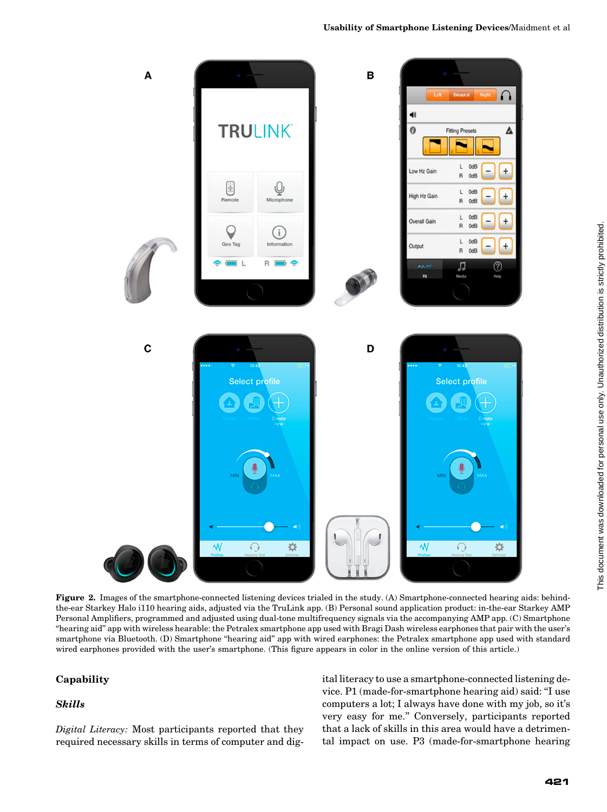

Figure 2. Images of the smartphone-connected listening devices trialed in the study. (A) Smartphone-connected hearing aids: behindthe-ear Starkey Halo i110 hearing aids, adjusted via the TruLink app. (B) Personal sound application product: in-the-ear Starkey AMP Personal Amplifiers, programmed and adjusted using dual-tone multifrequency signals via the accompanying AMP app. (C) Smartphone ''hearing aid'' app with wireless hearable: the Petralex smartphone app used with Bragi Dash wireless earphones that pair with the user's smartphone via Bluetooth. (D) Smartphone "hearing aid" app with wired earphones: the Petralex smartphone app used with standard wired earphones provided with the user's smartphone. (This figure appears in color in the online version of this article.)

## Capability

#### Skills

Digital Literacy: Most participants reported that they required necessary skills in terms of computer and digital literacy to use a smartphone-connected listening device. P1 (made-for-smartphone hearing aid) said: ''I use computers a lot; I always have done with my job, so it's very easy for me.'' Conversely, participants reported that a lack of skills in this area would have a detrimental impact on use. P3 (made-for-smartphone hearing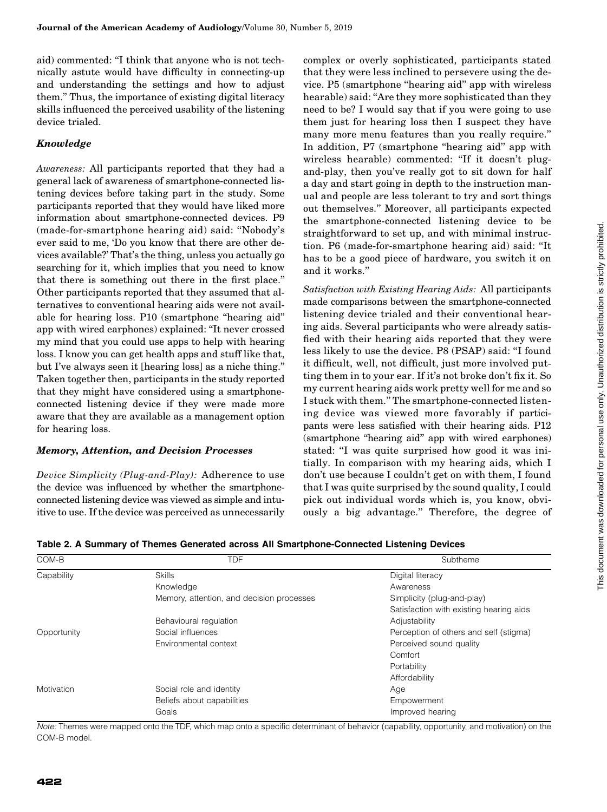aid) commented: ''I think that anyone who is not technically astute would have difficulty in connecting-up and understanding the settings and how to adjust them.'' Thus, the importance of existing digital literacy skills influenced the perceived usability of the listening device trialed.

#### Knowledge

Awareness: All participants reported that they had a general lack of awareness of smartphone-connected listening devices before taking part in the study. Some participants reported that they would have liked more information about smartphone-connected devices. P9 (made-for-smartphone hearing aid) said: ''Nobody's ever said to me, 'Do you know that there are other devices available?' That's the thing, unless you actually go searching for it, which implies that you need to know that there is something out there in the first place.'' Other participants reported that they assumed that alternatives to conventional hearing aids were not available for hearing loss. P10 (smartphone ''hearing aid'' app with wired earphones) explained: ''It never crossed my mind that you could use apps to help with hearing loss. I know you can get health apps and stuff like that, but I've always seen it [hearing loss] as a niche thing.'' Taken together then, participants in the study reported that they might have considered using a smartphoneconnected listening device if they were made more aware that they are available as a management option for hearing loss.

#### Memory, Attention, and Decision Processes

Device Simplicity (Plug-and-Play): Adherence to use the device was influenced by whether the smartphoneconnected listening device was viewed as simple and intuitive to use. If the device was perceived as unnecessarily complex or overly sophisticated, participants stated that they were less inclined to persevere using the device. P5 (smartphone ''hearing aid'' app with wireless hearable) said: ''Are they more sophisticated than they need to be? I would say that if you were going to use them just for hearing loss then I suspect they have many more menu features than you really require.'' In addition, P7 (smartphone "hearing aid" app with wireless hearable) commented: ''If it doesn't plugand-play, then you've really got to sit down for half a day and start going in depth to the instruction manual and people are less tolerant to try and sort things out themselves.'' Moreover, all participants expected the smartphone-connected listening device to be straightforward to set up, and with minimal instruction. P6 (made-for-smartphone hearing aid) said: ''It has to be a good piece of hardware, you switch it on and it works.''

Satisfaction with Existing Hearing Aids: All participants made comparisons between the smartphone-connected listening device trialed and their conventional hearing aids. Several participants who were already satisfied with their hearing aids reported that they were less likely to use the device. P8 (PSAP) said: ''I found it difficult, well, not difficult, just more involved putting them in to your ear. If it's not broke don't fix it. So my current hearing aids work pretty well for me and so I stuck with them.'' The smartphone-connected listening device was viewed more favorably if participants were less satisfied with their hearing aids. P12 (smartphone ''hearing aid'' app with wired earphones) stated: ''I was quite surprised how good it was initially. In comparison with my hearing aids, which I don't use because I couldn't get on with them, I found that I was quite surprised by the sound quality, I could pick out individual words which is, you know, obviously a big advantage.'' Therefore, the degree of

| COM-B       | <b>TDF</b>                                | Subtheme                                |
|-------------|-------------------------------------------|-----------------------------------------|
| Capability  | <b>Skills</b>                             | Digital literacy                        |
|             | Knowledge                                 | Awareness                               |
|             | Memory, attention, and decision processes | Simplicity (plug-and-play)              |
|             |                                           | Satisfaction with existing hearing aids |
|             | Behavioural regulation                    | Adjustability                           |
| Opportunity | Social influences                         | Perception of others and self (stigma)  |
|             | Environmental context                     | Perceived sound quality                 |
|             |                                           | Comfort                                 |
|             |                                           | Portability                             |
|             |                                           | Affordability                           |
| Motivation  | Social role and identity                  | Age                                     |
|             | Beliefs about capabilities                | Empowerment                             |
|             | Goals                                     | Improved hearing                        |

Note: Themes were mapped onto the TDF, which map onto a specific determinant of behavior (capability, opportunity, and motivation) on the COM-B model.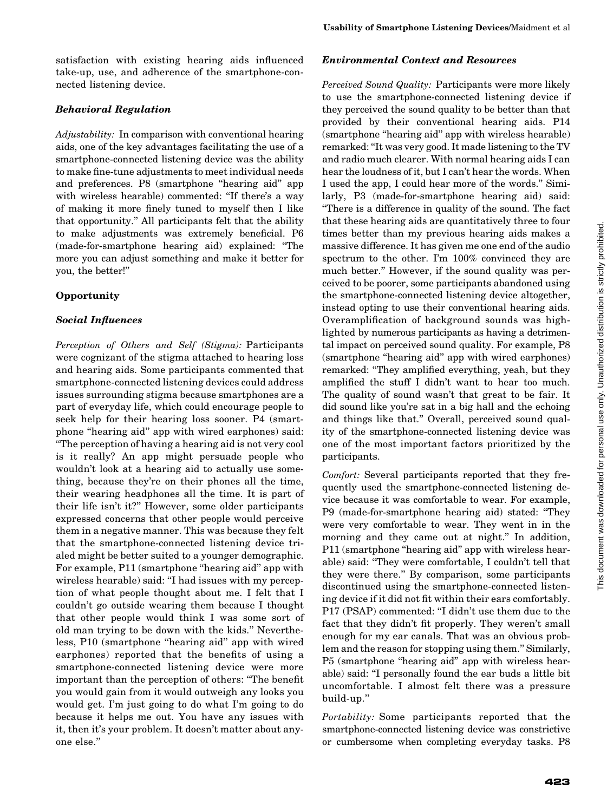satisfaction with existing hearing aids influenced take-up, use, and adherence of the smartphone-connected listening device.

## Behavioral Regulation

Adjustability: In comparison with conventional hearing aids, one of the key advantages facilitating the use of a smartphone-connected listening device was the ability to make fine-tune adjustments to meet individual needs and preferences. P8 (smartphone ''hearing aid'' app with wireless hearable) commented: "If there's a way of making it more finely tuned to myself then I like that opportunity.'' All participants felt that the ability to make adjustments was extremely beneficial. P6 (made-for-smartphone hearing aid) explained: ''The more you can adjust something and make it better for you, the better!''

## **Opportunity**

## Social Influences

Perception of Others and Self (Stigma): Participants were cognizant of the stigma attached to hearing loss and hearing aids. Some participants commented that smartphone-connected listening devices could address issues surrounding stigma because smartphones are a part of everyday life, which could encourage people to seek help for their hearing loss sooner. P4 (smartphone ''hearing aid'' app with wired earphones) said: ''The perception of having a hearing aid is not very cool is it really? An app might persuade people who wouldn't look at a hearing aid to actually use something, because they're on their phones all the time, their wearing headphones all the time. It is part of their life isn't it?'' However, some older participants expressed concerns that other people would perceive them in a negative manner. This was because they felt that the smartphone-connected listening device trialed might be better suited to a younger demographic. For example, P11 (smartphone "hearing aid" app with wireless hearable) said: "I had issues with my perception of what people thought about me. I felt that I couldn't go outside wearing them because I thought that other people would think I was some sort of old man trying to be down with the kids.'' Nevertheless, P10 (smartphone ''hearing aid'' app with wired earphones) reported that the benefits of using a smartphone-connected listening device were more important than the perception of others: ''The benefit you would gain from it would outweigh any looks you would get. I'm just going to do what I'm going to do because it helps me out. You have any issues with it, then it's your problem. It doesn't matter about anyone else.''

## Environmental Context and Resources

Perceived Sound Quality: Participants were more likely to use the smartphone-connected listening device if they perceived the sound quality to be better than that provided by their conventional hearing aids. P14 (smartphone ''hearing aid'' app with wireless hearable) remarked: ''It was very good. It made listening to the TV and radio much clearer. With normal hearing aids I can hear the loudness of it, but I can't hear the words. When I used the app, I could hear more of the words.'' Similarly, P3 (made-for-smartphone hearing aid) said: ''There is a difference in quality of the sound. The fact that these hearing aids are quantitatively three to four times better than my previous hearing aids makes a massive difference. It has given me one end of the audio spectrum to the other. I'm 100% convinced they are much better.'' However, if the sound quality was perceived to be poorer, some participants abandoned using the smartphone-connected listening device altogether, instead opting to use their conventional hearing aids. Overamplification of background sounds was highlighted by numerous participants as having a detrimental impact on perceived sound quality. For example, P8 (smartphone ''hearing aid'' app with wired earphones) remarked: ''They amplified everything, yeah, but they amplified the stuff I didn't want to hear too much. The quality of sound wasn't that great to be fair. It did sound like you're sat in a big hall and the echoing and things like that.'' Overall, perceived sound quality of the smartphone-connected listening device was one of the most important factors prioritized by the participants.

Comfort: Several participants reported that they frequently used the smartphone-connected listening device because it was comfortable to wear. For example, P9 (made-for-smartphone hearing aid) stated: ''They were very comfortable to wear. They went in in the morning and they came out at night." In addition, P11 (smartphone "hearing aid" app with wireless hearable) said: ''They were comfortable, I couldn't tell that they were there.'' By comparison, some participants discontinued using the smartphone-connected listening device if it did not fit within their ears comfortably. P17 (PSAP) commented: ''I didn't use them due to the fact that they didn't fit properly. They weren't small enough for my ear canals. That was an obvious problem and the reason for stopping using them.'' Similarly, P5 (smartphone "hearing aid" app with wireless hearable) said: ''I personally found the ear buds a little bit uncomfortable. I almost felt there was a pressure build-up.''

Portability: Some participants reported that the smartphone-connected listening device was constrictive or cumbersome when completing everyday tasks. P8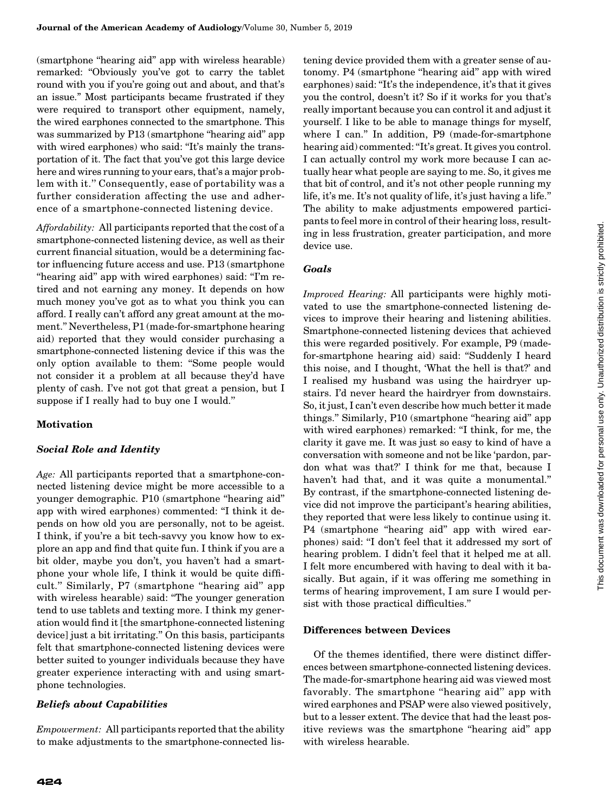(smartphone ''hearing aid'' app with wireless hearable) remarked: ''Obviously you've got to carry the tablet round with you if you're going out and about, and that's an issue.'' Most participants became frustrated if they were required to transport other equipment, namely, the wired earphones connected to the smartphone. This was summarized by P13 (smartphone "hearing aid" app with wired earphones) who said: "It's mainly the transportation of it. The fact that you've got this large device here and wires running to your ears, that's a major problem with it.'' Consequently, ease of portability was a further consideration affecting the use and adherence of a smartphone-connected listening device.

Affordability: All participants reported that the cost of a smartphone-connected listening device, as well as their current financial situation, would be a determining factor influencing future access and use. P13 (smartphone "hearing aid" app with wired earphones) said: "I'm retired and not earning any money. It depends on how much money you've got as to what you think you can afford. I really can't afford any great amount at the moment.'' Nevertheless, P1 (made-for-smartphone hearing aid) reported that they would consider purchasing a smartphone-connected listening device if this was the only option available to them: ''Some people would not consider it a problem at all because they'd have plenty of cash. I've not got that great a pension, but I suppose if I really had to buy one I would.''

## **Motivation**

## Social Role and Identity

Age: All participants reported that a smartphone-connected listening device might be more accessible to a younger demographic. P10 (smartphone ''hearing aid'' app with wired earphones) commented: ''I think it depends on how old you are personally, not to be ageist. I think, if you're a bit tech-savvy you know how to explore an app and find that quite fun. I think if you are a bit older, maybe you don't, you haven't had a smartphone your whole life, I think it would be quite difficult.'' Similarly, P7 (smartphone ''hearing aid'' app with wireless hearable) said: "The younger generation tend to use tablets and texting more. I think my generation would find it [the smartphone-connected listening device] just a bit irritating.'' On this basis, participants felt that smartphone-connected listening devices were better suited to younger individuals because they have greater experience interacting with and using smartphone technologies.

#### Beliefs about Capabilities

Empowerment: All participants reported that the ability to make adjustments to the smartphone-connected listening device provided them with a greater sense of autonomy. P4 (smartphone ''hearing aid'' app with wired earphones) said: ''It's the independence, it's that it gives you the control, doesn't it? So if it works for you that's really important because you can control it and adjust it yourself. I like to be able to manage things for myself, where I can.'' In addition, P9 (made-for-smartphone hearing aid) commented: "It's great. It gives you control. I can actually control my work more because I can actually hear what people are saying to me. So, it gives me that bit of control, and it's not other people running my life, it's me. It's not quality of life, it's just having a life.'' The ability to make adjustments empowered participants to feel more in control of their hearing loss, resulting in less frustration, greater participation, and more device use.

## Goals

Improved Hearing: All participants were highly motivated to use the smartphone-connected listening devices to improve their hearing and listening abilities. Smartphone-connected listening devices that achieved this were regarded positively. For example, P9 (madefor-smartphone hearing aid) said: ''Suddenly I heard this noise, and I thought, 'What the hell is that?' and I realised my husband was using the hairdryer upstairs. I'd never heard the hairdryer from downstairs. So, it just, I can't even describe how much better it made things.'' Similarly, P10 (smartphone ''hearing aid'' app with wired earphones) remarked: "I think, for me, the clarity it gave me. It was just so easy to kind of have a conversation with someone and not be like 'pardon, pardon what was that?' I think for me that, because I haven't had that, and it was quite a monumental.'' By contrast, if the smartphone-connected listening device did not improve the participant's hearing abilities, they reported that were less likely to continue using it. P4 (smartphone "hearing aid" app with wired earphones) said: ''I don't feel that it addressed my sort of hearing problem. I didn't feel that it helped me at all. I felt more encumbered with having to deal with it basically. But again, if it was offering me something in terms of hearing improvement, I am sure I would persist with those practical difficulties.''

#### Differences between Devices

Of the themes identified, there were distinct differences between smartphone-connected listening devices. The made-for-smartphone hearing aid was viewed most favorably. The smartphone ''hearing aid'' app with wired earphones and PSAP were also viewed positively, but to a lesser extent. The device that had the least positive reviews was the smartphone ''hearing aid'' app with wireless hearable.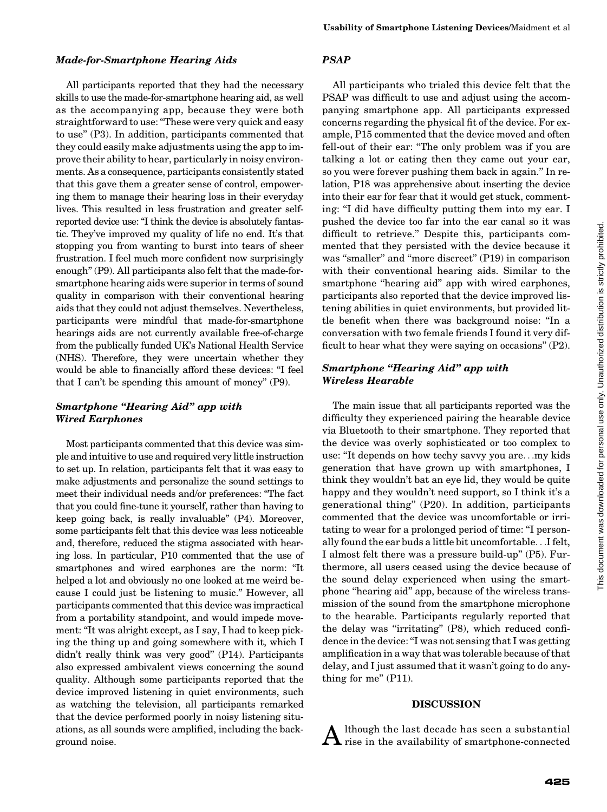#### Made-for-Smartphone Hearing Aids

All participants reported that they had the necessary skills to use the made-for-smartphone hearing aid, as well as the accompanying app, because they were both straightforward to use: ''These were very quick and easy to use'' (P3). In addition, participants commented that they could easily make adjustments using the app to improve their ability to hear, particularly in noisy environments. As a consequence, participants consistently stated that this gave them a greater sense of control, empowering them to manage their hearing loss in their everyday lives. This resulted in less frustration and greater selfreported device use: "I think the device is absolutely fantastic. They've improved my quality of life no end. It's that stopping you from wanting to burst into tears of sheer frustration. I feel much more confident now surprisingly enough'' (P9). All participants also felt that the made-forsmartphone hearing aids were superior in terms of sound quality in comparison with their conventional hearing aids that they could not adjust themselves. Nevertheless, participants were mindful that made-for-smartphone hearings aids are not currently available free-of-charge from the publically funded UK's National Health Service (NHS). Therefore, they were uncertain whether they would be able to financially afford these devices: "I feel that I can't be spending this amount of money'' (P9).

## Smartphone ''Hearing Aid'' app with Wired Earphones

Most participants commented that this device was simple and intuitive to use and required very little instruction to set up. In relation, participants felt that it was easy to make adjustments and personalize the sound settings to meet their individual needs and/or preferences: ''The fact that you could fine-tune it yourself, rather than having to keep going back, is really invaluable'' (P4). Moreover, some participants felt that this device was less noticeable and, therefore, reduced the stigma associated with hearing loss. In particular, P10 commented that the use of smartphones and wired earphones are the norm: ''It helped a lot and obviously no one looked at me weird because I could just be listening to music.'' However, all participants commented that this device was impractical from a portability standpoint, and would impede movement: "It was alright except, as I say, I had to keep picking the thing up and going somewhere with it, which I didn't really think was very good'' (P14). Participants also expressed ambivalent views concerning the sound quality. Although some participants reported that the device improved listening in quiet environments, such as watching the television, all participants remarked that the device performed poorly in noisy listening situations, as all sounds were amplified, including the background noise.

## PSAP

All participants who trialed this device felt that the PSAP was difficult to use and adjust using the accompanying smartphone app. All participants expressed concerns regarding the physical fit of the device. For example, P15 commented that the device moved and often fell-out of their ear: "The only problem was if you are talking a lot or eating then they came out your ear, so you were forever pushing them back in again.'' In relation, P18 was apprehensive about inserting the device into their ear for fear that it would get stuck, commenting: "I did have difficulty putting them into my ear. I pushed the device too far into the ear canal so it was difficult to retrieve.'' Despite this, participants commented that they persisted with the device because it was "smaller" and "more discreet" (P19) in comparison with their conventional hearing aids. Similar to the smartphone "hearing aid" app with wired earphones, participants also reported that the device improved listening abilities in quiet environments, but provided little benefit when there was background noise: ''In a conversation with two female friends I found it very difficult to hear what they were saying on occasions'' (P2).

#### Smartphone "Hearing Aid" app with Wireless Hearable

The main issue that all participants reported was the difficulty they experienced pairing the hearable device via Bluetooth to their smartphone. They reported that the device was overly sophisticated or too complex to use: ''It depends on how techy savvy you are...my kids generation that have grown up with smartphones, I think they wouldn't bat an eye lid, they would be quite happy and they wouldn't need support, so I think it's a generational thing'' (P20). In addition, participants commented that the device was uncomfortable or irritating to wear for a prolonged period of time: ''I personally found the ear buds a little bit uncomfortable...I felt, I almost felt there was a pressure build-up'' (P5). Furthermore, all users ceased using the device because of the sound delay experienced when using the smartphone "hearing aid" app, because of the wireless transmission of the sound from the smartphone microphone to the hearable. Participants regularly reported that the delay was ''irritating'' (P8), which reduced confidence in the device: ''I was not sensing that I was getting amplification in a way that was tolerable because of that delay, and I just assumed that it wasn't going to do anything for me'' (P11).

#### DISCUSSION

 ${\bf A}$  lthough the last decade has seen a substantial rise in the availability of smartphone-connected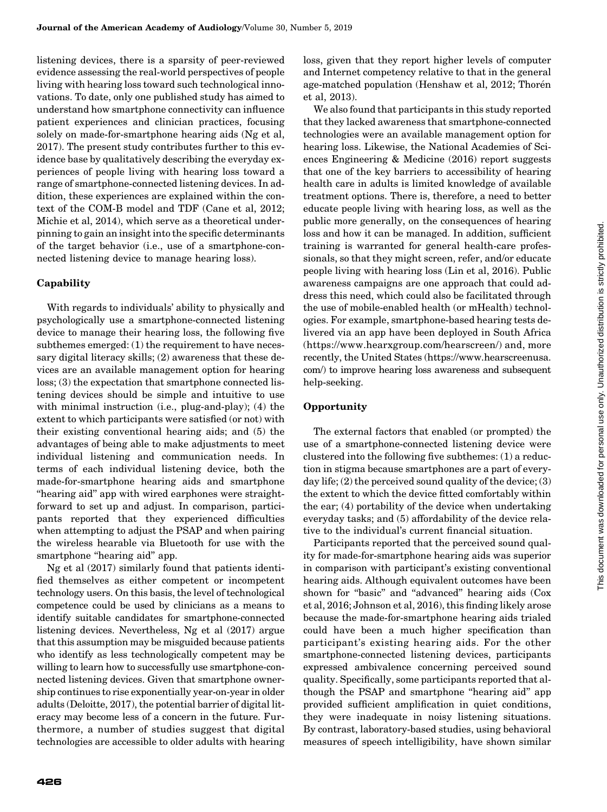listening devices, there is a sparsity of peer-reviewed evidence assessing the real-world perspectives of people living with hearing loss toward such technological innovations. To date, only one published study has aimed to understand how smartphone connectivity can influence patient experiences and clinician practices, focusing solely on made-for-smartphone hearing aids (Ng et al, 2017). The present study contributes further to this evidence base by qualitatively describing the everyday experiences of people living with hearing loss toward a range of smartphone-connected listening devices. In addition, these experiences are explained within the context of the COM-B model and TDF (Cane et al, 2012; Michie et al, 2014), which serve as a theoretical underpinning to gain an insight into the specific determinants of the target behavior (i.e., use of a smartphone-connected listening device to manage hearing loss).

## Capability

With regards to individuals' ability to physically and psychologically use a smartphone-connected listening device to manage their hearing loss, the following five subthemes emerged: (1) the requirement to have necessary digital literacy skills; (2) awareness that these devices are an available management option for hearing loss; (3) the expectation that smartphone connected listening devices should be simple and intuitive to use with minimal instruction (i.e., plug-and-play); (4) the extent to which participants were satisfied (or not) with their existing conventional hearing aids; and (5) the advantages of being able to make adjustments to meet individual listening and communication needs. In terms of each individual listening device, both the made-for-smartphone hearing aids and smartphone ''hearing aid'' app with wired earphones were straightforward to set up and adjust. In comparison, participants reported that they experienced difficulties when attempting to adjust the PSAP and when pairing the wireless hearable via Bluetooth for use with the smartphone "hearing aid" app.

Ng et al (2017) similarly found that patients identified themselves as either competent or incompetent technology users. On this basis, the level of technological competence could be used by clinicians as a means to identify suitable candidates for smartphone-connected listening devices. Nevertheless, Ng et al (2017) argue that this assumption may be misguided because patients who identify as less technologically competent may be willing to learn how to successfully use smartphone-connected listening devices. Given that smartphone ownership continues to rise exponentially year-on-year in older adults (Deloitte, 2017), the potential barrier of digital literacy may become less of a concern in the future. Furthermore, a number of studies suggest that digital technologies are accessible to older adults with hearing loss, given that they report higher levels of computer and Internet competency relative to that in the general age-matched population (Henshaw et al, 2012; Thorén et al, 2013).

We also found that participants in this study reported that they lacked awareness that smartphone-connected technologies were an available management option for hearing loss. Likewise, the National Academies of Sciences Engineering & Medicine (2016) report suggests that one of the key barriers to accessibility of hearing health care in adults is limited knowledge of available treatment options. There is, therefore, a need to better educate people living with hearing loss, as well as the public more generally, on the consequences of hearing loss and how it can be managed. In addition, sufficient training is warranted for general health-care professionals, so that they might screen, refer, and/or educate people living with hearing loss (Lin et al, 2016). Public awareness campaigns are one approach that could address this need, which could also be facilitated through the use of mobile-enabled health (or mHealth) technologies. For example, smartphone-based hearing tests delivered via an app have been deployed in South Africa ([https://www.hearxgroup.com/hearscreen/\)](https://www.hearxgroup.com/hearscreen/) and, more recently, the United States [\(https://www.hearscreenusa.](https://www.hearscreenusa.com/) [com/](https://www.hearscreenusa.com/)) to improve hearing loss awareness and subsequent help-seeking.

#### **Opportunity**

The external factors that enabled (or prompted) the use of a smartphone-connected listening device were clustered into the following five subthemes: (1) a reduction in stigma because smartphones are a part of everyday life;  $(2)$  the perceived sound quality of the device;  $(3)$ the extent to which the device fitted comfortably within the ear; (4) portability of the device when undertaking everyday tasks; and (5) affordability of the device relative to the individual's current financial situation.

Participants reported that the perceived sound quality for made-for-smartphone hearing aids was superior in comparison with participant's existing conventional hearing aids. Although equivalent outcomes have been shown for "basic" and "advanced" hearing aids (Cox et al, 2016; Johnson et al, 2016), this finding likely arose because the made-for-smartphone hearing aids trialed could have been a much higher specification than participant's existing hearing aids. For the other smartphone-connected listening devices, participants expressed ambivalence concerning perceived sound quality. Specifically, some participants reported that although the PSAP and smartphone ''hearing aid'' app provided sufficient amplification in quiet conditions, they were inadequate in noisy listening situations. By contrast, laboratory-based studies, using behavioral measures of speech intelligibility, have shown similar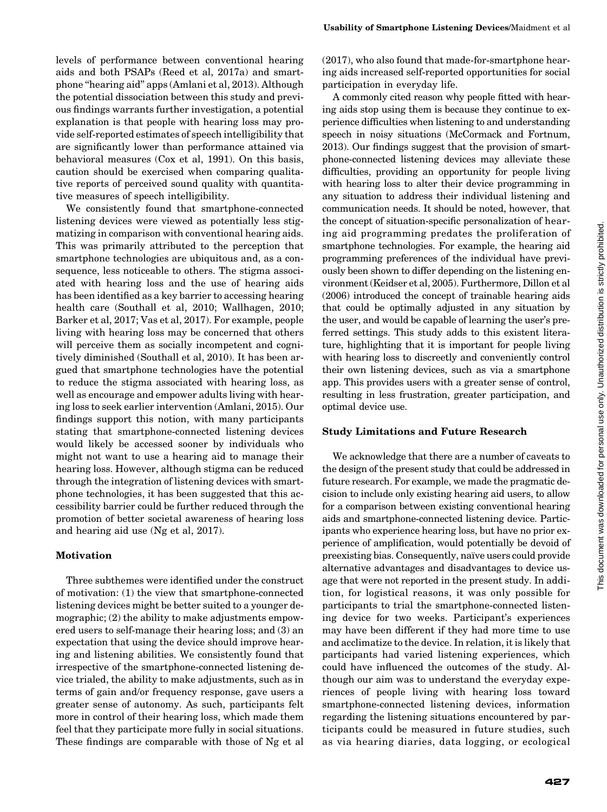levels of performance between conventional hearing aids and both PSAPs (Reed et al, 2017a) and smartphone ''hearing aid'' apps (Amlani et al, 2013). Although the potential dissociation between this study and previous findings warrants further investigation, a potential explanation is that people with hearing loss may provide self-reported estimates of speech intelligibility that are significantly lower than performance attained via behavioral measures (Cox et al, 1991). On this basis, caution should be exercised when comparing qualitative reports of perceived sound quality with quantitative measures of speech intelligibility.

We consistently found that smartphone-connected listening devices were viewed as potentially less stigmatizing in comparison with conventional hearing aids. This was primarily attributed to the perception that smartphone technologies are ubiquitous and, as a consequence, less noticeable to others. The stigma associated with hearing loss and the use of hearing aids has been identified as a key barrier to accessing hearing health care (Southall et al, 2010; Wallhagen, 2010; Barker et al, 2017; Vas et al, 2017). For example, people living with hearing loss may be concerned that others will perceive them as socially incompetent and cognitively diminished (Southall et al, 2010). It has been argued that smartphone technologies have the potential to reduce the stigma associated with hearing loss, as well as encourage and empower adults living with hearing loss to seek earlier intervention (Amlani, 2015). Our findings support this notion, with many participants stating that smartphone-connected listening devices would likely be accessed sooner by individuals who might not want to use a hearing aid to manage their hearing loss. However, although stigma can be reduced through the integration of listening devices with smartphone technologies, it has been suggested that this accessibility barrier could be further reduced through the promotion of better societal awareness of hearing loss and hearing aid use (Ng et al, 2017).

#### Motivation

Three subthemes were identified under the construct of motivation: (1) the view that smartphone-connected listening devices might be better suited to a younger demographic; (2) the ability to make adjustments empowered users to self-manage their hearing loss; and (3) an expectation that using the device should improve hearing and listening abilities. We consistently found that irrespective of the smartphone-connected listening device trialed, the ability to make adjustments, such as in terms of gain and/or frequency response, gave users a greater sense of autonomy. As such, participants felt more in control of their hearing loss, which made them feel that they participate more fully in social situations. These findings are comparable with those of Ng et al

(2017), who also found that made-for-smartphone hearing aids increased self-reported opportunities for social participation in everyday life.

A commonly cited reason why people fitted with hearing aids stop using them is because they continue to experience difficulties when listening to and understanding speech in noisy situations (McCormack and Fortnum, 2013). Our findings suggest that the provision of smartphone-connected listening devices may alleviate these difficulties, providing an opportunity for people living with hearing loss to alter their device programming in any situation to address their individual listening and communication needs. It should be noted, however, that the concept of situation-specific personalization of hearing aid programming predates the proliferation of smartphone technologies. For example, the hearing aid programming preferences of the individual have previously been shown to differ depending on the listening environment (Keidser et al, 2005). Furthermore, Dillon et al (2006) introduced the concept of trainable hearing aids that could be optimally adjusted in any situation by the user, and would be capable of learning the user's preferred settings. This study adds to this existent literature, highlighting that it is important for people living with hearing loss to discreetly and conveniently control their own listening devices, such as via a smartphone app. This provides users with a greater sense of control, resulting in less frustration, greater participation, and optimal device use.

#### Study Limitations and Future Research

We acknowledge that there are a number of caveats to the design of the present study that could be addressed in future research. For example, we made the pragmatic decision to include only existing hearing aid users, to allow for a comparison between existing conventional hearing aids and smartphone-connected listening device. Participants who experience hearing loss, but have no prior experience of amplification, would potentially be devoid of preexisting bias. Consequently, naïve users could provide alternative advantages and disadvantages to device usage that were not reported in the present study. In addition, for logistical reasons, it was only possible for participants to trial the smartphone-connected listening device for two weeks. Participant's experiences may have been different if they had more time to use and acclimatize to the device. In relation, it is likely that participants had varied listening experiences, which could have influenced the outcomes of the study. Although our aim was to understand the everyday experiences of people living with hearing loss toward smartphone-connected listening devices, information regarding the listening situations encountered by participants could be measured in future studies, such as via hearing diaries, data logging, or ecological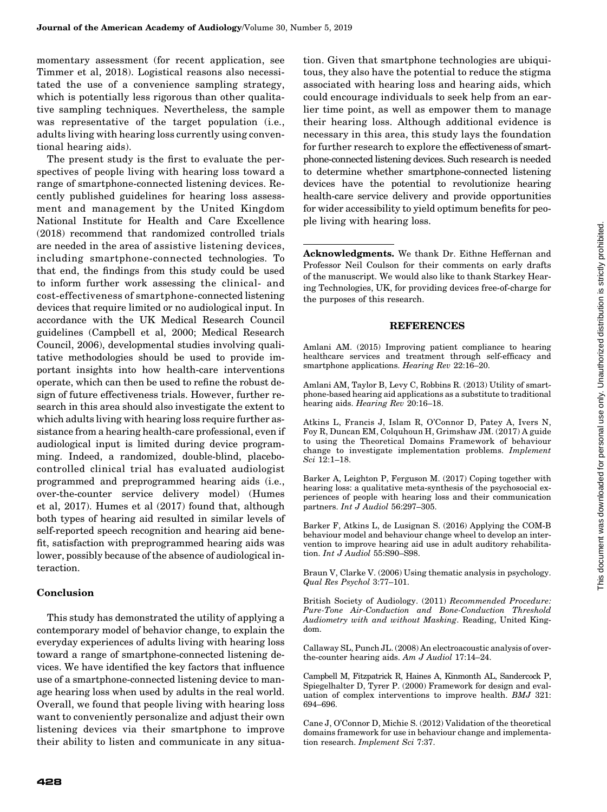momentary assessment (for recent application, see Timmer et al, 2018). Logistical reasons also necessitated the use of a convenience sampling strategy, which is potentially less rigorous than other qualitative sampling techniques. Nevertheless, the sample was representative of the target population (i.e., adults living with hearing loss currently using conventional hearing aids).

The present study is the first to evaluate the perspectives of people living with hearing loss toward a range of smartphone-connected listening devices. Recently published guidelines for hearing loss assessment and management by the United Kingdom National Institute for Health and Care Excellence (2018) recommend that randomized controlled trials are needed in the area of assistive listening devices, including smartphone-connected technologies. To that end, the findings from this study could be used to inform further work assessing the clinical- and cost-effectiveness of smartphone-connected listening devices that require limited or no audiological input. In accordance with the UK Medical Research Council guidelines (Campbell et al, 2000; Medical Research Council, 2006), developmental studies involving qualitative methodologies should be used to provide important insights into how health-care interventions operate, which can then be used to refine the robust design of future effectiveness trials. However, further research in this area should also investigate the extent to which adults living with hearing loss require further assistance from a hearing health-care professional, even if audiological input is limited during device programming. Indeed, a randomized, double-blind, placebocontrolled clinical trial has evaluated audiologist programmed and preprogrammed hearing aids (i.e., over-the-counter service delivery model) (Humes et al, 2017). Humes et al (2017) found that, although both types of hearing aid resulted in similar levels of self-reported speech recognition and hearing aid benefit, satisfaction with preprogrammed hearing aids was lower, possibly because of the absence of audiological interaction.

#### **Conclusion**

This study has demonstrated the utility of applying a contemporary model of behavior change, to explain the everyday experiences of adults living with hearing loss toward a range of smartphone-connected listening devices. We have identified the key factors that influence use of a smartphone-connected listening device to manage hearing loss when used by adults in the real world. Overall, we found that people living with hearing loss want to conveniently personalize and adjust their own listening devices via their smartphone to improve their ability to listen and communicate in any situation. Given that smartphone technologies are ubiquitous, they also have the potential to reduce the stigma associated with hearing loss and hearing aids, which could encourage individuals to seek help from an earlier time point, as well as empower them to manage their hearing loss. Although additional evidence is necessary in this area, this study lays the foundation for further research to explore the effectiveness of smartphone-connected listening devices. Such research is needed to determine whether smartphone-connected listening devices have the potential to revolutionize hearing health-care service delivery and provide opportunities for wider accessibility to yield optimum benefits for people living with hearing loss.

Acknowledgments. We thank Dr. Eithne Heffernan and Professor Neil Coulson for their comments on early drafts of the manuscript. We would also like to thank Starkey Hearing Technologies, UK, for providing devices free-of-charge for the purposes of this research.

#### REFERENCES

Amlani AM. (2015) Improving patient compliance to hearing healthcare services and treatment through self-efficacy and smartphone applications. Hearing Rev 22:16-20.

Amlani AM, Taylor B, Levy C, Robbins R. (2013) Utility of smartphone-based hearing aid applications as a substitute to traditional hearing aids. Hearing Rev 20:16–18.

Atkins L, Francis J, Islam R, O'Connor D, Patey A, Ivers N, Foy R, Duncan EM, Colquhoun H, Grimshaw JM. (2017) A guide to using the Theoretical Domains Framework of behaviour change to investigate implementation problems. Implement Sci 12:1–18.

Barker A, Leighton P, Ferguson M. (2017) Coping together with hearing loss: a qualitative meta-synthesis of the psychosocial experiences of people with hearing loss and their communication partners. Int J Audiol 56:297–305.

Barker F, Atkins L, de Lusignan S. (2016) Applying the COM-B behaviour model and behaviour change wheel to develop an intervention to improve hearing aid use in adult auditory rehabilitation. Int J Audiol 55:S90–S98.

Braun V, Clarke V. (2006) Using thematic analysis in psychology. Qual Res Psychol 3:77–101.

British Society of Audiology. (2011) Recommended Procedure: Pure-Tone Air-Conduction and Bone-Conduction Threshold Audiometry with and without Masking. Reading, United Kingdom.

Callaway SL, Punch JL. (2008) An electroacoustic analysis of overthe-counter hearing aids. Am J Audiol 17:14–24.

Campbell M, Fitzpatrick R, Haines A, Kinmonth AL, Sandercock P, Spiegelhalter D, Tyrer P. (2000) Framework for design and evaluation of complex interventions to improve health. BMJ 321: 694–696.

Cane J, O'Connor D, Michie S. (2012) Validation of the theoretical domains framework for use in behaviour change and implementation research. Implement Sci 7:37.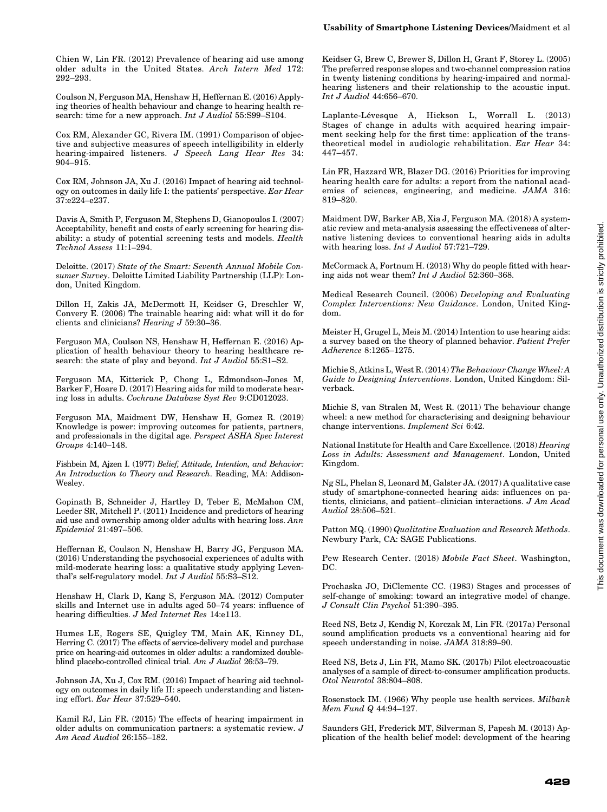Chien W, Lin FR. (2012) Prevalence of hearing aid use among older adults in the United States. Arch Intern Med 172: 292–293.

Coulson N, Ferguson MA, Henshaw H, Heffernan E. (2016) Applying theories of health behaviour and change to hearing health research: time for a new approach. Int J Audiol 55:S99-S104.

Cox RM, Alexander GC, Rivera IM. (1991) Comparison of objective and subjective measures of speech intelligibility in elderly hearing-impaired listeners. J Speech Lang Hear Res 34: 904–915.

Cox RM, Johnson JA, Xu J. (2016) Impact of hearing aid technology on outcomes in daily life I: the patients' perspective. Ear Hear 37:e224–e237.

Davis A, Smith P, Ferguson M, Stephens D, Gianopoulos I. (2007) Acceptability, benefit and costs of early screening for hearing disability: a study of potential screening tests and models. Health Technol Assess 11:1–294.

Deloitte. (2017) State of the Smart: Seventh Annual Mobile Consumer Survey. Deloitte Limited Liability Partnership (LLP): London, United Kingdom.

Dillon H, Zakis JA, McDermott H, Keidser G, Dreschler W, Convery E. (2006) The trainable hearing aid: what will it do for clients and clinicians? Hearing J 59:30–36.

Ferguson MA, Coulson NS, Henshaw H, Heffernan E. (2016) Application of health behaviour theory to hearing healthcare research: the state of play and beyond. Int J Audiol 55:S1-S2.

Ferguson MA, Kitterick P, Chong L, Edmondson-Jones M, Barker F, Hoare D. (2017) Hearing aids for mild to moderate hearing loss in adults. Cochrane Database Syst Rev 9:CD012023.

Ferguson MA, Maidment DW, Henshaw H, Gomez R. (2019) Knowledge is power: improving outcomes for patients, partners, and professionals in the digital age. Perspect ASHA Spec Interest Groups 4:140–148.

Fishbein M, Ajzen I. (1977) Belief, Attitude, Intention, and Behavior: An Introduction to Theory and Research. Reading, MA: Addison-Wesley.

Gopinath B, Schneider J, Hartley D, Teber E, McMahon CM, Leeder SR, Mitchell P. (2011) Incidence and predictors of hearing aid use and ownership among older adults with hearing loss. Ann Epidemiol 21:497–506.

Heffernan E, Coulson N, Henshaw H, Barry JG, Ferguson MA. (2016) Understanding the psychosocial experiences of adults with mild-moderate hearing loss: a qualitative study applying Leventhal's self-regulatory model. Int J Audiol 55:S3–S12.

Henshaw H, Clark D, Kang S, Ferguson MA. (2012) Computer skills and Internet use in adults aged 50–74 years: influence of hearing difficulties. J Med Internet Res 14:e113.

Humes LE, Rogers SE, Quigley TM, Main AK, Kinney DL, Herring C. (2017) The effects of service-delivery model and purchase price on hearing-aid outcomes in older adults: a randomized doubleblind placebo-controlled clinical trial. Am J Audiol 26:53–79.

Johnson JA, Xu J, Cox RM. (2016) Impact of hearing aid technology on outcomes in daily life II: speech understanding and listening effort. Ear Hear 37:529–540.

Kamil RJ, Lin FR. (2015) The effects of hearing impairment in older adults on communication partners: a systematic review. J Am Acad Audiol 26:155–182.

Keidser G, Brew C, Brewer S, Dillon H, Grant F, Storey L. (2005) The preferred response slopes and two-channel compression ratios in twenty listening conditions by hearing-impaired and normalhearing listeners and their relationship to the acoustic input. Int J Audiol 44:656–670.

Laplante-Lévesque A, Hickson L, Worrall L. (2013) Stages of change in adults with acquired hearing impairment seeking help for the first time: application of the transtheoretical model in audiologic rehabilitation. Ear Hear 34: 447–457.

Lin FR, Hazzard WR, Blazer DG. (2016) Priorities for improving hearing health care for adults: a report from the national academies of sciences, engineering, and medicine. JAMA 316: 819–820.

Maidment DW, Barker AB, Xia J, Ferguson MA. (2018) A systematic review and meta-analysis assessing the effectiveness of alternative listening devices to conventional hearing aids in adults with hearing loss. Int J Audiol 57:721–729.

McCormack A, Fortnum H. (2013) Why do people fitted with hearing aids not wear them? Int J Audiol 52:360–368.

Medical Research Council. (2006) Developing and Evaluating Complex Interventions: New Guidance. London, United Kingdom.

Meister H, Grugel L, Meis M. (2014) Intention to use hearing aids: a survey based on the theory of planned behavior. Patient Prefer Adherence 8:1265–1275.

Michie S, Atkins L, West R. (2014) The Behaviour Change Wheel: A Guide to Designing Interventions. London, United Kingdom: Silverback.

Michie S, van Stralen M, West R. (2011) The behaviour change wheel: a new method for characterising and designing behaviour change interventions. Implement Sci 6:42.

National Institute for Health and Care Excellence. (2018) Hearing Loss in Adults: Assessment and Management. London, United Kingdom.

Ng SL, Phelan S, Leonard M, Galster JA. (2017) A qualitative case study of smartphone-connected hearing aids: influences on patients, clinicians, and patient–clinician interactions. J Am Acad Audiol 28:506–521.

Patton MQ. (1990) Qualitative Evaluation and Research Methods. Newbury Park, CA: SAGE Publications.

Pew Research Center. (2018) Mobile Fact Sheet. Washington, DC.

Prochaska JO, DiClemente CC. (1983) Stages and processes of self-change of smoking: toward an integrative model of change. J Consult Clin Psychol 51:390–395.

Reed NS, Betz J, Kendig N, Korczak M, Lin FR. (2017a) Personal sound amplification products vs a conventional hearing aid for speech understanding in noise. JAMA 318:89–90.

Reed NS, Betz J, Lin FR, Mamo SK. (2017b) Pilot electroacoustic analyses of a sample of direct-to-consumer amplification products. Otol Neurotol 38:804–808.

Rosenstock IM. (1966) Why people use health services. Milbank Mem Fund Q 44:94–127.

Saunders GH, Frederick MT, Silverman S, Papesh M. (2013) Application of the health belief model: development of the hearing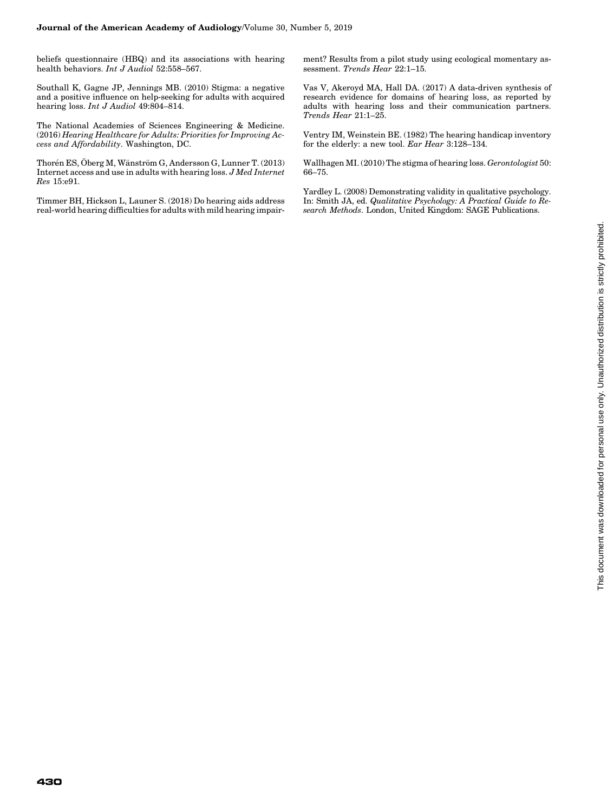beliefs questionnaire (HBQ) and its associations with hearing health behaviors. Int J Audiol 52:558-567.

Southall K, Gagne JP, Jennings MB. (2010) Stigma: a negative and a positive influence on help-seeking for adults with acquired hearing loss. Int J Audiol 49:804–814.

The National Academies of Sciences Engineering & Medicine. (2016) Hearing Healthcare for Adults: Priorities for Improving Access and Affordability. Washington, DC.

Thorén ES, Öberg M, Wänström G, Andersson G, Lunner T. (2013) Internet access and use in adults with hearing loss. J Med Internet Res 15:e91.

Timmer BH, Hickson L, Launer S. (2018) Do hearing aids address real-world hearing difficulties for adults with mild hearing impairment? Results from a pilot study using ecological momentary assessment. Trends Hear 22:1–15.

Vas V, Akeroyd MA, Hall DA. (2017) A data-driven synthesis of research evidence for domains of hearing loss, as reported by adults with hearing loss and their communication partners. Trends Hear 21:1–25.

Ventry IM, Weinstein BE. (1982) The hearing handicap inventory for the elderly: a new tool. Ear Hear 3:128–134.

Wallhagen MI. (2010) The stigma of hearing loss. Gerontologist 50: 66–75.

Yardley L. (2008) Demonstrating validity in qualitative psychology. In: Smith JA, ed. Qualitative Psychology: A Practical Guide to Research Methods. London, United Kingdom: SAGE Publications.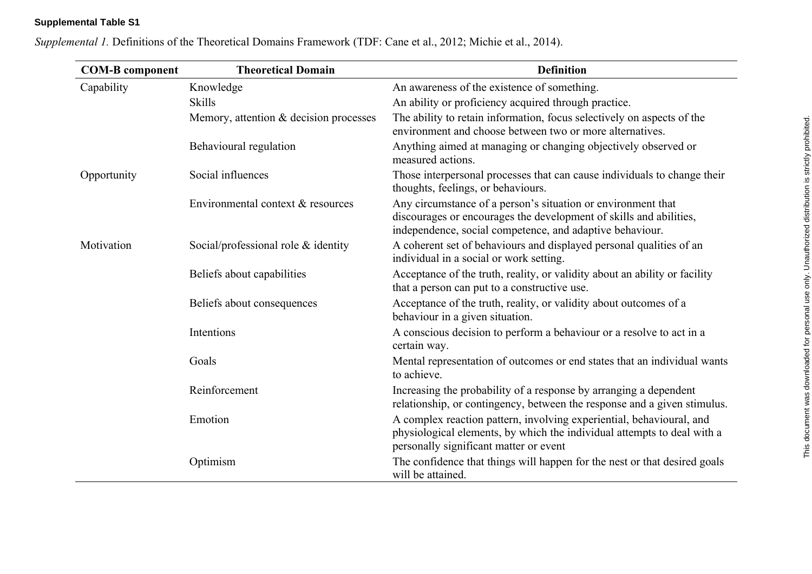## **Supplemental Table S1**

| <b>COM-B</b> component | <b>Theoretical Domain</b>              | <b>Definition</b>                                                                                                                                                                              |
|------------------------|----------------------------------------|------------------------------------------------------------------------------------------------------------------------------------------------------------------------------------------------|
| Capability             | Knowledge                              | An awareness of the existence of something.                                                                                                                                                    |
|                        | <b>Skills</b>                          | An ability or proficiency acquired through practice.                                                                                                                                           |
|                        | Memory, attention & decision processes | The ability to retain information, focus selectively on aspects of the<br>environment and choose between two or more alternatives.                                                             |
|                        | Behavioural regulation                 | Anything aimed at managing or changing objectively observed or<br>measured actions.                                                                                                            |
| Opportunity            | Social influences                      | Those interpersonal processes that can cause individuals to change their<br>thoughts, feelings, or behaviours.                                                                                 |
|                        | Environmental context & resources      | Any circumstance of a person's situation or environment that<br>discourages or encourages the development of skills and abilities,<br>independence, social competence, and adaptive behaviour. |
| Motivation             | Social/professional role $&$ identity  | A coherent set of behaviours and displayed personal qualities of an<br>individual in a social or work setting.                                                                                 |
|                        | Beliefs about capabilities             | Acceptance of the truth, reality, or validity about an ability or facility<br>that a person can put to a constructive use.                                                                     |
|                        | Beliefs about consequences             | Acceptance of the truth, reality, or validity about outcomes of a<br>behaviour in a given situation.                                                                                           |
|                        | Intentions                             | A conscious decision to perform a behaviour or a resolve to act in a<br>certain way.                                                                                                           |
|                        | Goals                                  | Mental representation of outcomes or end states that an individual wants<br>to achieve.                                                                                                        |
|                        | Reinforcement                          | Increasing the probability of a response by arranging a dependent<br>relationship, or contingency, between the response and a given stimulus.                                                  |
|                        | Emotion                                | A complex reaction pattern, involving experiential, behavioural, and<br>physiological elements, by which the individual attempts to deal with a<br>personally significant matter or event      |
|                        | Optimism                               | The confidence that things will happen for the nest or that desired goals<br>will be attained.                                                                                                 |

*Supplemental 1.* Definitions of the Theoretical Domains Framework (TDF: Cane et al., 2012; Michie et al., 2014).